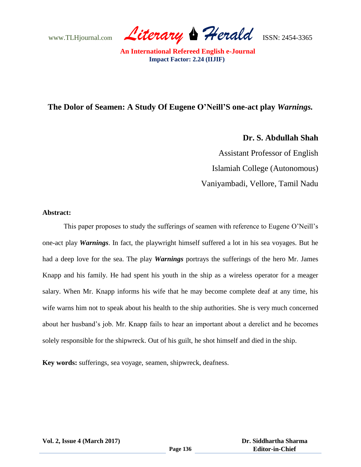www.TLHjournal.com *Literary Herald*ISSN: 2454-3365

# **The Dolor of Seamen: A Study Of Eugene O'Neill'S one-act play** *Warnings.*

**Dr. S. Abdullah Shah**

Assistant Professor of English Islamiah College (Autonomous) Vaniyambadi, Vellore, Tamil Nadu

### **Abstract:**

This paper proposes to study the sufferings of seamen with reference to Eugene O'Neill's one-act play *Warnings*. In fact, the playwright himself suffered a lot in his sea voyages. But he had a deep love for the sea. The play *Warnings* portrays the sufferings of the hero Mr. James Knapp and his family. He had spent his youth in the ship as a wireless operator for a meager salary. When Mr. Knapp informs his wife that he may become complete deaf at any time, his wife warns him not to speak about his health to the ship authorities. She is very much concerned about her husband's job. Mr. Knapp fails to hear an important about a derelict and he becomes solely responsible for the shipwreck. Out of his guilt, he shot himself and died in the ship.

**Key words:** sufferings, sea voyage, seamen, shipwreck, deafness.

**Vol. 2, Issue 4 (March 2017)**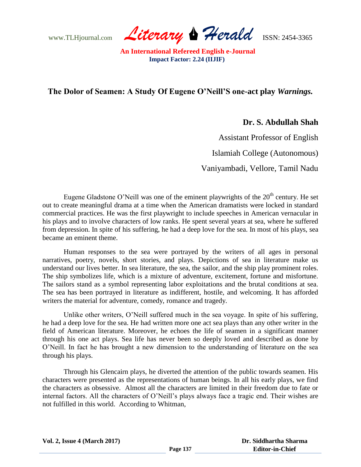www.TLHjournal.com *Literary Herald*ISSN: 2454-3365

## **The Dolor of Seamen: A Study Of Eugene O'Neill'S one-act play** *Warnings.*

**Dr. S. Abdullah Shah**

Assistant Professor of English

Islamiah College (Autonomous)

Vaniyambadi, Vellore, Tamil Nadu

Eugene Gladstone O'Neill was one of the eminent playwrights of the  $20<sup>th</sup>$  century. He set out to create meaningful drama at a time when the American dramatists were locked in standard commercial practices. He was the first playwright to include speeches in American vernacular in his plays and to involve characters of low ranks. He spent several years at sea, where he suffered from depression. In spite of his suffering, he had a deep love for the sea. In most of his plays, sea became an eminent theme.

Human responses to the sea were portrayed by the writers of all ages in personal narratives, poetry, novels, short stories, and plays. Depictions of sea in literature make us understand our lives better. In sea literature, the sea, the sailor, and the ship play prominent roles. The ship symbolizes life, which is a mixture of adventure, excitement, fortune and misfortune. The sailors stand as a symbol representing labor exploitations and the brutal conditions at sea. The sea has been portrayed in literature as indifferent, hostile, and welcoming. It has afforded writers the material for adventure, comedy, romance and tragedy.

Unlike other writers, O'Neill suffered much in the sea voyage. In spite of his suffering, he had a deep love for the sea. He had written more one act sea plays than any other writer in the field of American literature. Moreover, he echoes the life of seamen in a significant manner through his one act plays. Sea life has never been so deeply loved and described as done by O'Neill. In fact he has brought a new dimension to the understanding of literature on the sea through his plays.

Through his Glencairn plays, he diverted the attention of the public towards seamen. His characters were presented as the representations of human beings. In all his early plays, we find the characters as obsessive. Almost all the characters are limited in their freedom due to fate or internal factors. All the characters of O'Neill's plays always face a tragic end. Their wishes are not fulfilled in this world. According to Whitman,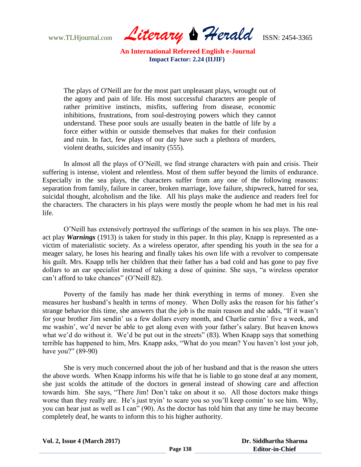www.TLHjournal.com *Literary Herald*ISSN: 2454-3365

The plays of O'Neill are for the most part unpleasant plays, wrought out of the agony and pain of life. His most successful characters are people of rather primitive instincts, misfits, suffering from disease, economic inhibitions, frustrations, from soul-destroying powers which they cannot understand. These poor souls are usually beaten in the battle of life by a force either within or outside themselves that makes for their confusion and ruin. In fact, few plays of our day have such a plethora of murders, violent deaths, suicides and insanity (555).

In almost all the plays of O'Neill, we find strange characters with pain and crisis. Their suffering is intense, violent and relentless. Most of them suffer beyond the limits of endurance. Especially in the sea plays, the characters suffer from any one of the following reasons: separation from family, failure in career, broken marriage, love failure, shipwreck, hatred for sea, suicidal thought, alcoholism and the like. All his plays make the audience and readers feel for the characters. The characters in his plays were mostly the people whom he had met in his real life.

O'Neill has extensively portrayed the sufferings of the seamen in his sea plays. The oneact play *Warnings* (1913) is taken for study in this paper. In this play*,* Knapp is represented as a victim of materialistic society. As a wireless operator, after spending his youth in the sea for a meager salary, he loses his hearing and finally takes his own life with a revolver to compensate his guilt. Mrs. Knapp tells her children that their father has a bad cold and has gone to pay five dollars to an ear specialist instead of taking a dose of quinine. She says, "a wireless operator can't afford to take chances" (O'Neill 82).

Poverty of the family has made her think everything in terms of money. Even she measures her husband's health in terms of money. When Dolly asks the reason for his father's strange behavior this time, she answers that the job is the main reason and she adds, "If it wasn't for your brother Jim sendin' us a few dollars every month, and Charlie earnin' five a week, and me washin', we'd never be able to get along even with your father's salary. But heaven knows what we'd do without it. We'd be put out in the streets" (83). When Knapp says that something terrible has happened to him, Mrs. Knapp asks, "What do you mean? You haven't lost your job, have you?" (89-90)

She is very much concerned about the job of her husband and that is the reason she utters the above words. When Knapp informs his wife that he is liable to go stone deaf at any moment, she just scolds the attitude of the doctors in general instead of showing care and affection towards him. She says, "There Jim! Don't take on about it so. All those doctors make things worse than they really are. He's just tryin' to scare you so you'll keep comin' to see him. Why, you can hear just as well as I can" (90). As the doctor has told him that any time he may become completely deaf, he wants to inform this to his higher authority.

**Vol. 2, Issue 4 (March 2017)**

 **Dr. Siddhartha Sharma Editor-in-Chief**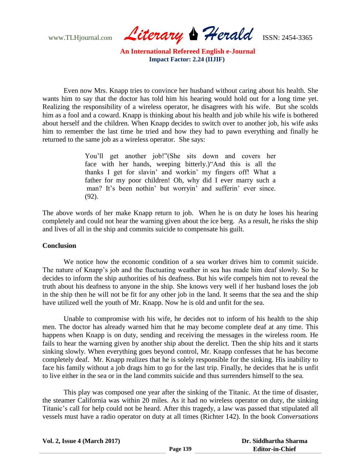www.TLHjournal.com *Literary Herald*ISSN: 2454-3365

Even now Mrs. Knapp tries to convince her husband without caring about his health. She wants him to say that the doctor has told him his hearing would hold out for a long time yet. Realizing the responsibility of a wireless operator, he disagrees with his wife. But she scolds him as a fool and a coward. Knapp is thinking about his health and job while his wife is bothered about herself and the children. When Knapp decides to switch over to another job, his wife asks him to remember the last time he tried and how they had to pawn everything and finally he returned to the same job as a wireless operator. She says:

> You'll get another job!"(She sits down and covers her face with her hands, weeping bitterly.)"And this is all the thanks I get for slavin' and workin' my fingers off! What a father for my poor children! Oh, why did I ever marry such a man? It's been nothin' but worryin' and sufferin' ever since. (92).

The above words of her make Knapp return to job. When he is on duty he loses his hearing completely and could not hear the warning given about the ice berg. As a result, he risks the ship and lives of all in the ship and commits suicide to compensate his guilt.

#### **Conclusion**

We notice how the economic condition of a sea worker drives him to commit suicide. The nature of Knapp's job and the fluctuating weather in sea has made him deaf slowly. So he decides to inform the ship authorities of his deafness. But his wife compels him not to reveal the truth about his deafness to anyone in the ship. She knows very well if her husband loses the job in the ship then he will not be fit for any other job in the land. It seems that the sea and the ship have utilized well the youth of Mr. Knapp. Now he is old and unfit for the sea.

Unable to compromise with his wife, he decides not to inform of his health to the ship men. The doctor has already warned him that he may become complete deaf at any time. This happens when Knapp is on duty, sending and receiving the messages in the wireless room. He fails to hear the warning given by another ship about the derelict. Then the ship hits and it starts sinking slowly. When everything goes beyond control, Mr. Knapp confesses that he has become completely deaf. Mr. Knapp realizes that he is solely responsible for the sinking. His inability to face his family without a job drags him to go for the last trip. Finally, he decides that he is unfit to live either in the sea or in the land commits suicide and thus surrenders himself to the sea.

This play was composed one year after the sinking of the Titanic*.* At the time of disaster, the steamer California was within 20 miles. As it had no wireless operator on duty, the sinking Titanic's call for help could not be heard. After this tragedy, a law was passed that stipulated all vessels must have a radio operator on duty at all times (Richter 142). In the book *Conversations*